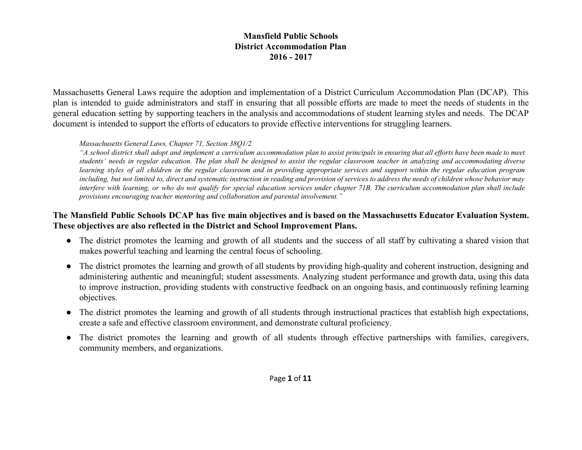Massachusetts General Laws require the adoption and implementation of a District Curriculum Accommodation Plan (DCAP). This plan is intended to guide administrators and staff in ensuring that all possible efforts are made to meet the needs of students in the general education setting by supporting teachers in the analysis and accommodations of student learning styles and needs. The DCAP document is intended to support the efforts of educators to provide effective interventions for struggling learners.

#### *Massachusetts General Laws, Chapter 71, Section 38Q1/2*

"A school district shall adopt and implement a curriculum accommodation plan to assist principals in ensuring that all efforts have been made to meet students' needs in regular education. The plan shall be designed to assist the regular classroom teacher in analyzing and accommodating diverse learning styles of all children in the regular classroom and in providing appropriate services and support within the regular education program including, but not limited to, direct and systematic instruction in reading and provision of services to address the needs of children whose behavior may interfere with learning, or who do not qualify for special education services under chapter 71B. The curriculum accommodation plan shall include *provisions encouraging teacher mentoring and collaboration and parental involvement."*

## The Mansfield Public Schools DCAP has five main objectives and is based on the Massachusetts Educator Evaluation System. **These objectives are also reflected in the District and School Improvement Plans.**

- The district promotes the learning and growth of all students and the success of all staff by cultivating a shared vision that makes powerful teaching and learning the central focus of schooling.
- The district promotes the learning and growth of all students by providing high-quality and coherent instruction, designing and administering authentic and meaningful; student assessments. Analyzing student performance and growth data, using this data to improve instruction, providing students with constructive feedback on an ongoing basis, and continuously refining learning objectives.
- The district promotes the learning and growth of all students through instructional practices that establish high expectations, create a safe and effective classroom environment, and demonstrate cultural proficiency.
- The district promotes the learning and growth of all students through effective partnerships with families, caregivers, community members, and organizations.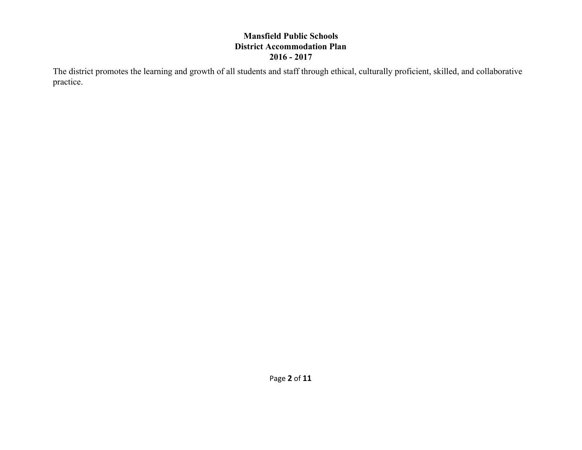The district promotes the learning and growth of all students and staff through ethical, culturally proficient, skilled, and collaborative practice.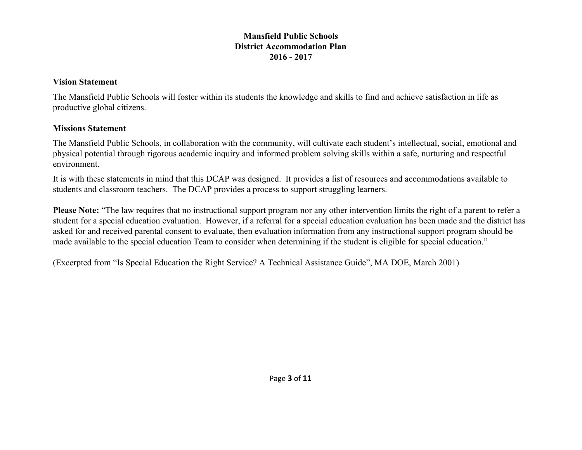#### **Vision Statement**

The Mansfield Public Schools will foster within its students the knowledge and skills to find and achieve satisfaction in life as productive global citizens.

#### **Missions Statement**

The Mansfield Public Schools, in collaboration with the community, will cultivate each student's intellectual, social, emotional and physical potential through rigorous academic inquiry and informed problem solving skills within a safe, nurturing and respectful environment.

It is with these statements in mind that this DCAP was designed. It provides a list of resources and accommodations available to students and classroom teachers. The DCAP provides a process to support struggling learners.

**Please Note:** "The law requires that no instructional support program nor any other intervention limits the right of a parent to refer a student for a special education evaluation. However, if a referral for a special education evaluation has been made and the district has asked for and received parental consent to evaluate, then evaluation information from any instructional support program should be made available to the special education Team to consider when determining if the student is eligible for special education."

(Excerpted from "Is Special Education the Right Service? A Technical Assistance Guide", MA DOE, March 2001)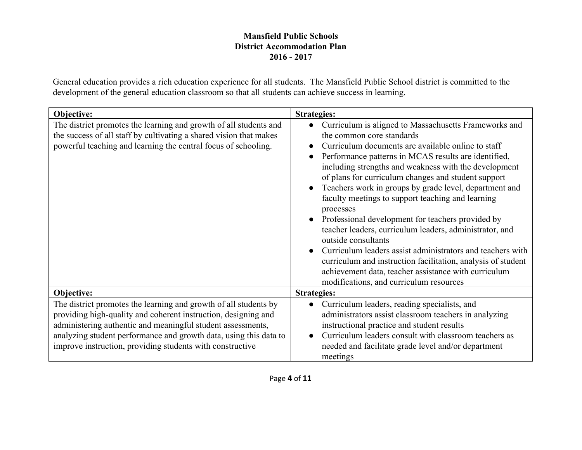General education provides a rich education experience for all students. The Mansfield Public School district is committed to the development of the general education classroom so that all students can achieve success in learning.

| Objective:                                                                                                                                                                                                                                                                                                                          | <b>Strategies:</b>                                                                                                                                                                                                                                                                                                                                                                                                                                                                                                                                                                                                                                                                                                                                                                                                                                          |
|-------------------------------------------------------------------------------------------------------------------------------------------------------------------------------------------------------------------------------------------------------------------------------------------------------------------------------------|-------------------------------------------------------------------------------------------------------------------------------------------------------------------------------------------------------------------------------------------------------------------------------------------------------------------------------------------------------------------------------------------------------------------------------------------------------------------------------------------------------------------------------------------------------------------------------------------------------------------------------------------------------------------------------------------------------------------------------------------------------------------------------------------------------------------------------------------------------------|
| The district promotes the learning and growth of all students and<br>the success of all staff by cultivating a shared vision that makes<br>powerful teaching and learning the central focus of schooling.                                                                                                                           | Curriculum is aligned to Massachusetts Frameworks and<br>$\bullet$<br>the common core standards<br>Curriculum documents are available online to staff<br>Performance patterns in MCAS results are identified,<br>$\bullet$<br>including strengths and weakness with the development<br>of plans for curriculum changes and student support<br>Teachers work in groups by grade level, department and<br>faculty meetings to support teaching and learning<br>processes<br>Professional development for teachers provided by<br>$\bullet$<br>teacher leaders, curriculum leaders, administrator, and<br>outside consultants<br>Curriculum leaders assist administrators and teachers with<br>curriculum and instruction facilitation, analysis of student<br>achievement data, teacher assistance with curriculum<br>modifications, and curriculum resources |
| Objective:                                                                                                                                                                                                                                                                                                                          | <b>Strategies:</b>                                                                                                                                                                                                                                                                                                                                                                                                                                                                                                                                                                                                                                                                                                                                                                                                                                          |
| The district promotes the learning and growth of all students by<br>providing high-quality and coherent instruction, designing and<br>administering authentic and meaningful student assessments,<br>analyzing student performance and growth data, using this data to<br>improve instruction, providing students with constructive | Curriculum leaders, reading specialists, and<br>$\bullet$<br>administrators assist classroom teachers in analyzing<br>instructional practice and student results<br>Curriculum leaders consult with classroom teachers as<br>needed and facilitate grade level and/or department<br>meetings                                                                                                                                                                                                                                                                                                                                                                                                                                                                                                                                                                |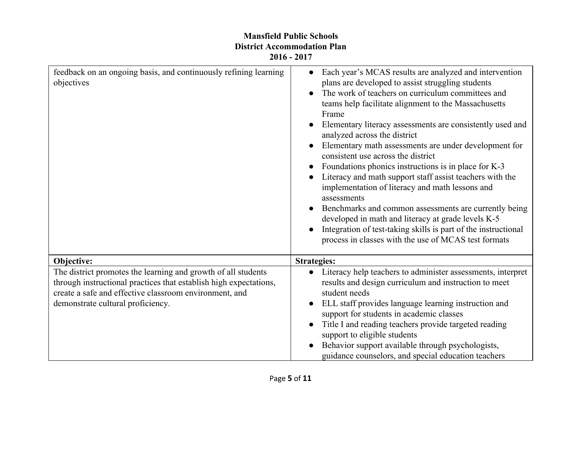| feedback on an ongoing basis, and continuously refining learning<br>objectives                                                                                                                                                    | Each year's MCAS results are analyzed and intervention<br>plans are developed to assist struggling students<br>The work of teachers on curriculum committees and<br>teams help facilitate alignment to the Massachusetts<br>Frame<br>Elementary literacy assessments are consistently used and<br>analyzed across the district<br>Elementary math assessments are under development for<br>consistent use across the district<br>Foundations phonics instructions is in place for K-3<br>Literacy and math support staff assist teachers with the<br>implementation of literacy and math lessons and<br>assessments<br>Benchmarks and common assessments are currently being<br>developed in math and literacy at grade levels K-5<br>Integration of test-taking skills is part of the instructional<br>process in classes with the use of MCAS test formats |
|-----------------------------------------------------------------------------------------------------------------------------------------------------------------------------------------------------------------------------------|--------------------------------------------------------------------------------------------------------------------------------------------------------------------------------------------------------------------------------------------------------------------------------------------------------------------------------------------------------------------------------------------------------------------------------------------------------------------------------------------------------------------------------------------------------------------------------------------------------------------------------------------------------------------------------------------------------------------------------------------------------------------------------------------------------------------------------------------------------------|
| Objective:                                                                                                                                                                                                                        | <b>Strategies:</b>                                                                                                                                                                                                                                                                                                                                                                                                                                                                                                                                                                                                                                                                                                                                                                                                                                           |
| The district promotes the learning and growth of all students<br>through instructional practices that establish high expectations,<br>create a safe and effective classroom environment, and<br>demonstrate cultural proficiency. | Literacy help teachers to administer assessments, interpret<br>$\bullet$<br>results and design curriculum and instruction to meet<br>student needs<br>ELL staff provides language learning instruction and<br>support for students in academic classes<br>Title I and reading teachers provide targeted reading<br>support to eligible students<br>Behavior support available through psychologists,<br>guidance counselors, and special education teachers                                                                                                                                                                                                                                                                                                                                                                                                  |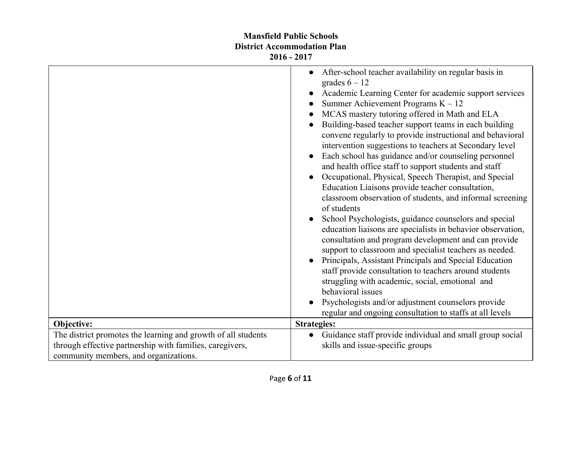|                                                               | After-school teacher availability on regular basis in<br>$\bullet$<br>grades $6 - 12$<br>Academic Learning Center for academic support services<br>Summer Achievement Programs $K - 12$<br>MCAS mastery tutoring offered in Math and ELA<br>Building-based teacher support teams in each building<br>convene regularly to provide instructional and behavioral<br>intervention suggestions to teachers at Secondary level<br>Each school has guidance and/or counseling personnel<br>and health office staff to support students and staff<br>Occupational, Physical, Speech Therapist, and Special<br>Education Liaisons provide teacher consultation,<br>classroom observation of students, and informal screening<br>of students<br>School Psychologists, guidance counselors and special<br>education liaisons are specialists in behavior observation,<br>consultation and program development and can provide<br>support to classroom and specialist teachers as needed.<br>Principals, Assistant Principals and Special Education<br>$\bullet$<br>staff provide consultation to teachers around students<br>struggling with academic, social, emotional and<br>behavioral issues<br>Psychologists and/or adjustment counselors provide<br>regular and ongoing consultation to staffs at all levels |
|---------------------------------------------------------------|-----------------------------------------------------------------------------------------------------------------------------------------------------------------------------------------------------------------------------------------------------------------------------------------------------------------------------------------------------------------------------------------------------------------------------------------------------------------------------------------------------------------------------------------------------------------------------------------------------------------------------------------------------------------------------------------------------------------------------------------------------------------------------------------------------------------------------------------------------------------------------------------------------------------------------------------------------------------------------------------------------------------------------------------------------------------------------------------------------------------------------------------------------------------------------------------------------------------------------------------------------------------------------------------------------------|
| Objective:                                                    | <b>Strategies:</b>                                                                                                                                                                                                                                                                                                                                                                                                                                                                                                                                                                                                                                                                                                                                                                                                                                                                                                                                                                                                                                                                                                                                                                                                                                                                                        |
| The district promotes the learning and growth of all students | Guidance staff provide individual and small group social                                                                                                                                                                                                                                                                                                                                                                                                                                                                                                                                                                                                                                                                                                                                                                                                                                                                                                                                                                                                                                                                                                                                                                                                                                                  |
| through effective partnership with families, caregivers,      | skills and issue-specific groups                                                                                                                                                                                                                                                                                                                                                                                                                                                                                                                                                                                                                                                                                                                                                                                                                                                                                                                                                                                                                                                                                                                                                                                                                                                                          |
| community members, and organizations.                         |                                                                                                                                                                                                                                                                                                                                                                                                                                                                                                                                                                                                                                                                                                                                                                                                                                                                                                                                                                                                                                                                                                                                                                                                                                                                                                           |
|                                                               |                                                                                                                                                                                                                                                                                                                                                                                                                                                                                                                                                                                                                                                                                                                                                                                                                                                                                                                                                                                                                                                                                                                                                                                                                                                                                                           |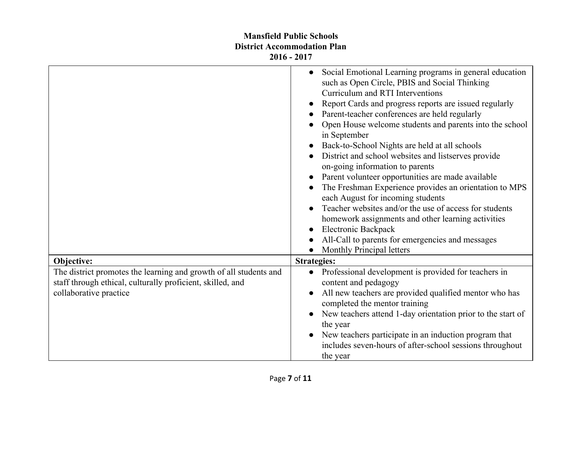|                                                                                                                                                           | Social Emotional Learning programs in general education<br>$\bullet$<br>such as Open Circle, PBIS and Social Thinking<br>Curriculum and RTI Interventions<br>Report Cards and progress reports are issued regularly<br>Parent-teacher conferences are held regularly<br>Open House welcome students and parents into the school<br>in September<br>Back-to-School Nights are held at all schools<br>District and school websites and listserves provide<br>on-going information to parents<br>Parent volunteer opportunities are made available<br>The Freshman Experience provides an orientation to MPS<br>each August for incoming students<br>Teacher websites and/or the use of access for students<br>homework assignments and other learning activities<br>Electronic Backpack<br>All-Call to parents for emergencies and messages<br>Monthly Principal letters |
|-----------------------------------------------------------------------------------------------------------------------------------------------------------|------------------------------------------------------------------------------------------------------------------------------------------------------------------------------------------------------------------------------------------------------------------------------------------------------------------------------------------------------------------------------------------------------------------------------------------------------------------------------------------------------------------------------------------------------------------------------------------------------------------------------------------------------------------------------------------------------------------------------------------------------------------------------------------------------------------------------------------------------------------------|
| Objective:                                                                                                                                                | <b>Strategies:</b>                                                                                                                                                                                                                                                                                                                                                                                                                                                                                                                                                                                                                                                                                                                                                                                                                                                     |
| The district promotes the learning and growth of all students and<br>staff through ethical, culturally proficient, skilled, and<br>collaborative practice | Professional development is provided for teachers in<br>$\bullet$<br>content and pedagogy<br>All new teachers are provided qualified mentor who has<br>completed the mentor training<br>New teachers attend 1-day orientation prior to the start of<br>the year<br>New teachers participate in an induction program that<br>includes seven-hours of after-school sessions throughout<br>the year                                                                                                                                                                                                                                                                                                                                                                                                                                                                       |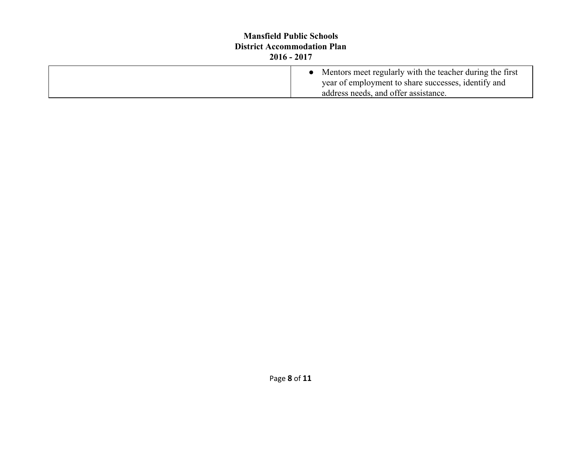| <b>Mansfield Public Schools</b><br><b>District Accommodation Plan</b><br>$2016 - 2017$ |                                                                                                                                                           |
|----------------------------------------------------------------------------------------|-----------------------------------------------------------------------------------------------------------------------------------------------------------|
|                                                                                        | • Mentors meet regularly with the teacher during the first<br>year of employment to share successes, identify and<br>address needs, and offer assistance. |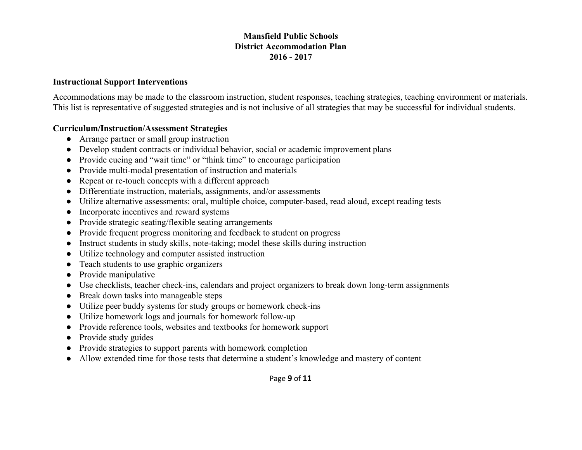#### **Instructional Support Interventions**

Accommodations may be made to the classroom instruction, student responses, teaching strategies, teaching environment or materials. This list is representative of suggested strategies and is not inclusive of all strategies that may be successful for individual students.

#### **Curriculum/Instruction/Assessment Strategies**

- Arrange partner or small group instruction
- Develop student contracts or individual behavior, social or academic improvement plans
- Provide cueing and "wait time" or "think time" to encourage participation
- Provide multi-modal presentation of instruction and materials
- Repeat or re-touch concepts with a different approach
- Differentiate instruction, materials, assignments, and/or assessments
- Utilize alternative assessments: oral, multiple choice, computer-based, read aloud, except reading tests
- Incorporate incentives and reward systems
- Provide strategic seating/flexible seating arrangements
- Provide frequent progress monitoring and feedback to student on progress
- Instruct students in study skills, note-taking; model these skills during instruction
- Utilize technology and computer assisted instruction
- Teach students to use graphic organizers
- Provide manipulative
- Use checklists, teacher check-ins, calendars and project organizers to break down long-term assignments
- Break down tasks into manageable steps
- Utilize peer buddy systems for study groups or homework check-ins
- Utilize homework logs and journals for homework follow-up
- Provide reference tools, websites and textbooks for homework support
- Provide study guides
- Provide strategies to support parents with homework completion
- Allow extended time for those tests that determine a student's knowledge and mastery of content

Page **9** of **11**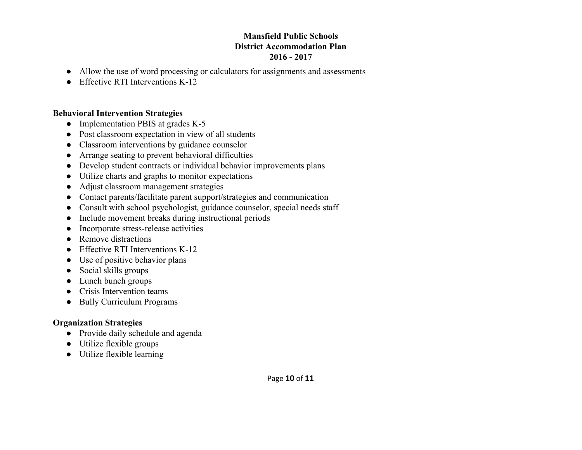- Allow the use of word processing or calculators for assignments and assessments
- Effective RTI Interventions  $K-12$

## **Behavioral Intervention Strategies**

- Implementation PBIS at grades  $K-5$
- Post classroom expectation in view of all students
- Classroom interventions by guidance counselor
- Arrange seating to prevent behavioral difficulties
- Develop student contracts or individual behavior improvements plans
- Utilize charts and graphs to monitor expectations
- Adjust classroom management strategies
- Contact parents/facilitate parent support/strategies and communication
- Consult with school psychologist, guidance counselor, special needs staff
- Include movement breaks during instructional periods
- Incorporate stress-release activities
- Remove distractions
- $\bullet$  Effective RTI Interventions K-12
- Use of positive behavior plans
- Social skills groups
- Lunch bunch groups
- Crisis Intervention teams
- Bully Curriculum Programs

# **Organization Strategies**

- Provide daily schedule and agenda
- Utilize flexible groups
- Utilize flexible learning